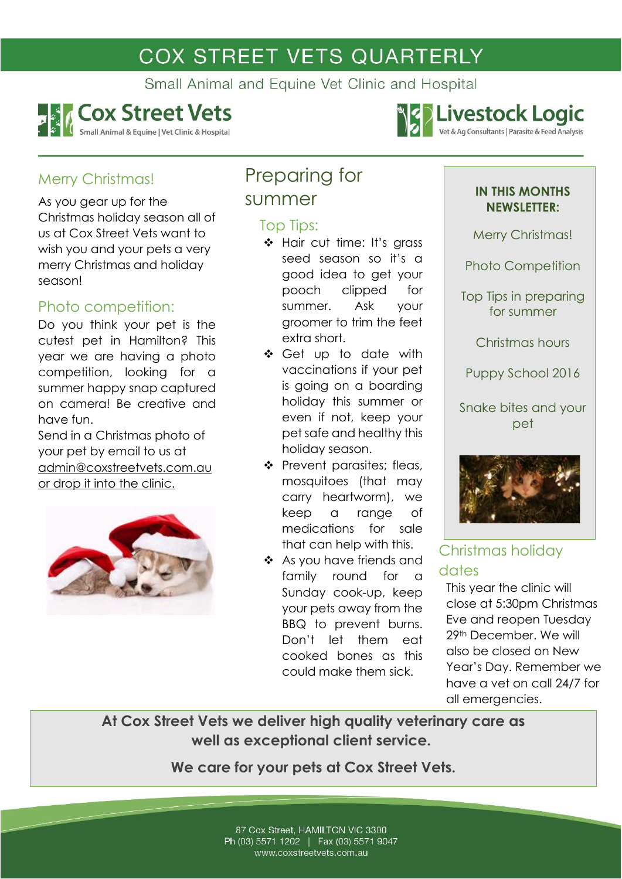# **COX STREET VETS QUARTERLY**

Small Animal and Equine Vet Clinic and Hospital



Christmas holiday season all of us at Cox Street Vets want to wish you and your pets a very merry Christmas and holiday

Do you think your pet is the cutest pet in Hamilton? This year we are having a photo competition, looking for a summer happy snap captured on camera! Be creative and

Send in a Christmas photo of your pet by email to us at

[admin@coxstreetvets.com.au](mailto:admin@coxstreetvets.com.au)

or drop it into the clinic.

Merry Christmas!

season!

have fun.

As you gear up for the

Photo competition:



summer

## Top Tips:

- Hair cut time: It's grass seed season so it's a good idea to get your pooch clipped for summer. Ask your groomer to trim the feet extra short.
- Get up to date with vaccinations if your pet is going on a boarding holiday this summer or even if not, keep your pet safe and healthy this holiday season.
- \* Prevent parasites; fleas, mosquitoes (that may carry heartworm), we keep a range of medications for sale that can help with this.
- As you have friends and family round for a Sunday cook-up, keep your pets away from the BBQ to prevent burns. Don't let them eat cooked bones as this could make them sick.

#### **IN THIS MONTHS NEWSLETTER:**

**SOLIVESTOCK Logic** 

Vet & Ag Consultants | Parasite & Feed Analysis

Merry Christmas!

Photo Competition

Top Tips in preparing for summer

Christmas hours

Puppy School 2016

Snake bites and your pet



## Christmas holiday dates

This year the clinic will close at 5:30pm Christmas Eve and reopen Tuesday 29th December. We will also be closed on New Year's Day. Remember we have a vet on call 24/7 for all emergencies.

## **At Cox Street Vets we deliver high quality veterinary care as well as exceptional client service.**

**We care for your pets at Cox Street Vets.**

87 Cox Street, HAMILTON VIC 3300 Ph (03) 5571 1202 | Fax (03) 5571 9047 www.coxstreetvets.com.au